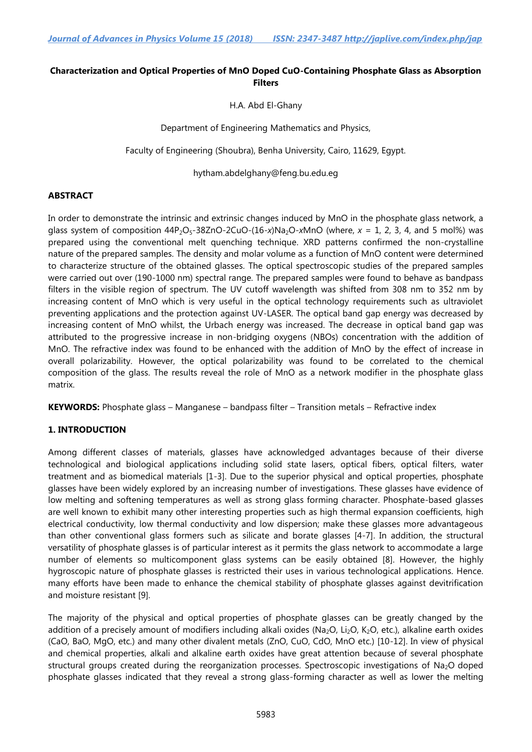## **Characterization and Optical Properties of MnO Doped CuO-Containing Phosphate Glass as Absorption Filters**

H.A. Abd El-Ghany

Department of Engineering Mathematics and Physics,

Faculty of Engineering (Shoubra), Benha University, Cairo, 11629, Egypt.

hytham.abdelghany@feng.bu.edu.eg

### **ABSTRACT**

In order to demonstrate the intrinsic and extrinsic changes induced by MnO in the phosphate glass network, a glass system of composition  $44P_2O_5-38ZnO-2CuO-(16-x)Na_2O-xMnO$  (where,  $x = 1$ , 2, 3, 4, and 5 mol%) was prepared using the conventional melt quenching technique. XRD patterns confirmed the non-crystalline nature of the prepared samples. The density and molar volume as a function of MnO content were determined to characterize structure of the obtained glasses. The optical spectroscopic studies of the prepared samples were carried out over (190-1000 nm) spectral range. The prepared samples were found to behave as bandpass filters in the visible region of spectrum. The UV cutoff wavelength was shifted from 308 nm to 352 nm by increasing content of MnO which is very useful in the optical technology requirements such as ultraviolet preventing applications and the protection against UV-LASER. The optical band gap energy was decreased by increasing content of MnO whilst, the Urbach energy was increased. The decrease in optical band gap was attributed to the progressive increase in non-bridging oxygens (NBOs) concentration with the addition of MnO. The refractive index was found to be enhanced with the addition of MnO by the effect of increase in overall polarizability. However, the optical polarizability was found to be correlated to the chemical composition of the glass. The results reveal the role of MnO as a network modifier in the phosphate glass matrix.

**KEYWORDS:** Phosphate glass – Manganese – bandpass filter – Transition metals – Refractive index

### **1. INTRODUCTION**

Among different classes of materials, glasses have acknowledged advantages because of their diverse technological and biological applications including solid state lasers, optical fibers, optical filters, water treatment and as biomedical materials [1-3]. Due to the superior physical and optical properties, phosphate glasses have been widely explored by an increasing number of investigations. These glasses have evidence of low melting and softening temperatures as well as strong glass forming character. Phosphate-based glasses are well known to exhibit many other interesting properties such as high thermal expansion coefficients, high electrical conductivity, low thermal conductivity and low dispersion; make these glasses more advantageous than other conventional glass formers such as silicate and borate glasses [4-7]. In addition, the structural versatility of phosphate glasses is of particular interest as it permits the glass network to accommodate a large number of elements so multicomponent glass systems can be easily obtained [8]. However, the highly hygroscopic nature of phosphate glasses is restricted their uses in various technological applications. Hence. many efforts have been made to enhance the chemical stability of phosphate glasses against devitrification and moisture resistant [9].

The majority of the physical and optical properties of phosphate glasses can be greatly changed by the addition of a precisely amount of modifiers including alkali oxides (Na<sub>2</sub>O, Li<sub>2</sub>O, K<sub>2</sub>O, etc.), alkaline earth oxides (CaO, BaO, MgO, etc.) and many other divalent metals (ZnO, CuO, CdO, MnO etc.) [10-12]. In view of physical and chemical properties, alkali and alkaline earth oxides have great attention because of several phosphate structural groups created during the reorganization processes. Spectroscopic investigations of Na<sub>2</sub>O doped phosphate glasses indicated that they reveal a strong glass-forming character as well as lower the melting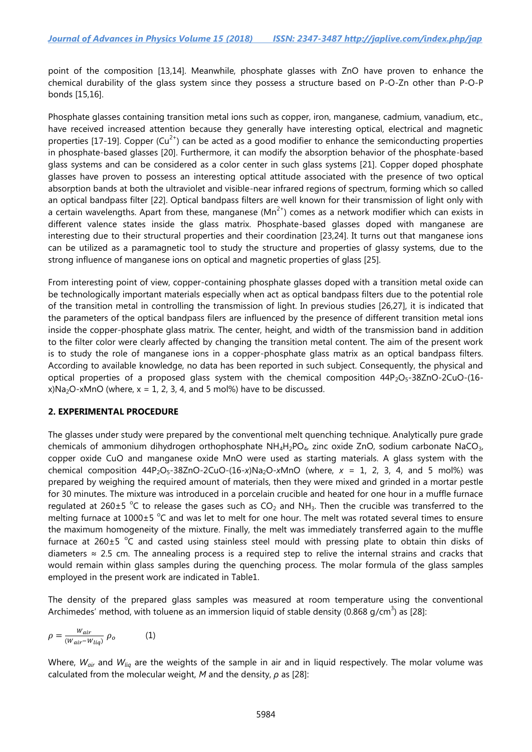point of the composition [13,14]. Meanwhile, phosphate glasses with ZnO have proven to enhance the chemical durability of the glass system since they possess a structure based on P-O-Zn other than P-O-P bonds [15,16].

Phosphate glasses containing transition metal ions such as copper, iron, manganese, cadmium, vanadium, etc., have received increased attention because they generally have interesting optical, electrical and magnetic properties [17-19]. Copper  $(Cu^{2+})$  can be acted as a good modifier to enhance the semiconducting properties in phosphate-based glasses [20]. Furthermore, it can modify the absorption behavior of the phosphate-based glass systems and can be considered as a color center in such glass systems [21]. Copper doped phosphate glasses have proven to possess an interesting optical attitude associated with the presence of two optical absorption bands at both the ultraviolet and visible-near infrared regions of spectrum, forming which so called an optical bandpass filter [22]. Optical bandpass filters are well known for their transmission of light only with a certain wavelengths. Apart from these, manganese ( $Mn^{2+}$ ) comes as a network modifier which can exists in different valence states inside the glass matrix. Phosphate-based glasses doped with manganese are interesting due to their structural properties and their coordination [23,24]. It turns out that manganese ions can be utilized as a paramagnetic tool to study the structure and properties of glassy systems, due to the strong influence of manganese ions on optical and magnetic properties of glass [25].

From interesting point of view, copper-containing phosphate glasses doped with a transition metal oxide can be technologically important materials especially when act as optical bandpass filters due to the potential role of the transition metal in controlling the transmission of light. In previous studies [26,27], it is indicated that the parameters of the optical bandpass filers are influenced by the presence of different transition metal ions inside the copper-phosphate glass matrix. The center, height, and width of the transmission band in addition to the filter color were clearly affected by changing the transition metal content. The aim of the present work is to study the role of manganese ions in a copper-phosphate glass matrix as an optical bandpass filters. According to available knowledge, no data has been reported in such subject. Consequently, the physical and optical properties of a proposed glass system with the chemical composition  $44P_2O_5-38ZnO-2CuO-(16-Zn)$  $x)Na<sub>2</sub>O-xMnO$  (where,  $x = 1, 2, 3, 4$ , and 5 mol%) have to be discussed.

### **2. EXPERIMENTAL PROCEDURE**

The glasses under study were prepared by the conventional melt quenching technique. Analytically pure grade chemicals of ammonium dihydrogen orthophosphate  $NH_4H_2PO_4$ , zinc oxide ZnO, sodium carbonate NaCO<sub>3</sub>, copper oxide CuO and manganese oxide MnO were used as starting materials. A glass system with the chemical composition  $44P_2O_5-38ZnO-2CuO-(16-x)Na_2O-xMnO$  (where,  $x = 1, 2, 3, 4,$  and 5 mol%) was prepared by weighing the required amount of materials, then they were mixed and grinded in a mortar pestle for 30 minutes. The mixture was introduced in a porcelain crucible and heated for one hour in a muffle furnace regulated at 260 $\pm$ 5 °C to release the gases such as CO<sub>2</sub> and NH<sub>3</sub>. Then the crucible was transferred to the melting furnace at  $1000 \pm 5$  °C and was let to melt for one hour. The melt was rotated several times to ensure the maximum homogeneity of the mixture. Finally, the melt was immediately transferred again to the muffle furnace at 260 $\pm$ 5 °C and casted using stainless steel mould with pressing plate to obtain thin disks of diameters ≈ 2.5 cm. The annealing process is a required step to relive the internal strains and cracks that would remain within glass samples during the quenching process. The molar formula of the glass samples employed in the present work are indicated in Table1.

The density of the prepared glass samples was measured at room temperature using the conventional Archimedes' method, with toluene as an immersion liquid of stable density (0.868 g/cm<sup>3</sup>) as [28]:

$$
\rho = \frac{W_{air}}{(W_{air} - W_{liq})} \rho_o \tag{1}
$$

Where, *Wair* and *Wliq* are the weights of the sample in air and in liquid respectively. The molar volume was calculated from the molecular weight, *M* and the density, *ρ* as [28]: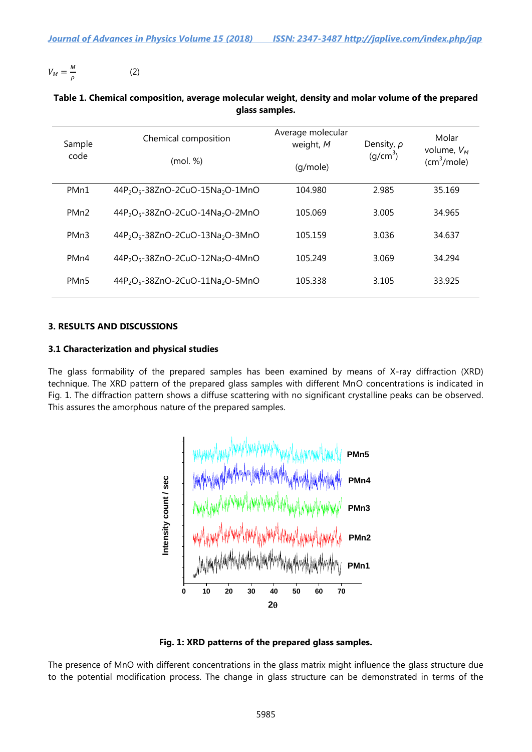$V_M = \frac{M}{I}$  $\rho$ (2)

| Sample<br>code    | Chemical composition<br>(mol. %            | Average molecular<br>weight, M<br>(q/mole) | Density, $\rho$<br>(q/cm <sup>3</sup> ) | Molar<br>volume, $V_M$<br>(cm <sup>3</sup> /mole) |
|-------------------|--------------------------------------------|--------------------------------------------|-----------------------------------------|---------------------------------------------------|
| PM <sub>n1</sub>  | $44P_2O_5 - 38ZnO - 2CuO - 15Na_2O - 1MnO$ | 104.980                                    | 2.985                                   | 35.169                                            |
| PM <sub>n2</sub>  | $44P_2O_5 - 38ZnO - 2CuO - 14Na_2O - 2MnO$ | 105.069                                    | 3.005                                   | 34.965                                            |
| PM <sub>n</sub> 3 | $44P_2O_5 - 38ZnO - 2CuO - 13Na_2O - 3MnO$ | 105.159                                    | 3.036                                   | 34.637                                            |
| PM <sub>n4</sub>  | $44P_2O_5 - 38ZnO - 2CuO - 12Na_2O - 4MnO$ | 105.249                                    | 3.069                                   | 34.294                                            |
| PM <sub>n5</sub>  | $44P_2O_5 - 38ZnO - 2CuO - 11Na_2O - 5MnO$ | 105.338                                    | 3.105                                   | 33.925                                            |

### **Table 1. Chemical composition, average molecular weight, density and molar volume of the prepared glass samples.**

### **3. RESULTS AND DISCUSSIONS**

### **3.1 Characterization and physical studies**

The glass formability of the prepared samples has been examined by means of X-ray diffraction (XRD) technique. The XRD pattern of the prepared glass samples with different MnO concentrations is indicated in Fig. 1. The diffraction pattern shows a diffuse scattering with no significant crystalline peaks can be observed. This assures the amorphous nature of the prepared samples.





The presence of MnO with different concentrations in the glass matrix might influence the glass structure due to the potential modification process. The change in glass structure can be demonstrated in terms of the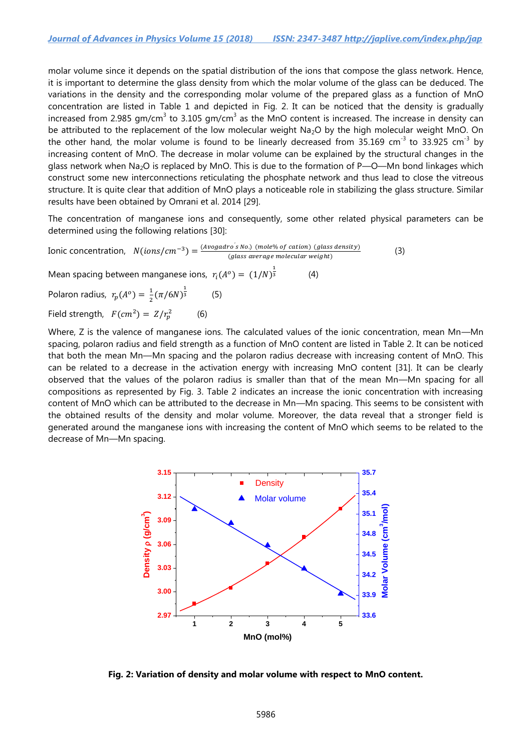molar volume since it depends on the spatial distribution of the ions that compose the glass network. Hence, it is important to determine the glass density from which the molar volume of the glass can be deduced. The variations in the density and the corresponding molar volume of the prepared glass as a function of MnO concentration are listed in Table 1 and depicted in Fig. 2. It can be noticed that the density is gradually increased from 2.985 gm/cm<sup>3</sup> to 3.105 gm/cm<sup>3</sup> as the MnO content is increased. The increase in density can be attributed to the replacement of the low molecular weight Na<sub>2</sub>O by the high molecular weight MnO. On the other hand, the molar volume is found to be linearly decreased from 35.169 cm<sup>-3</sup> to 33.925 cm<sup>-3</sup> by increasing content of MnO. The decrease in molar volume can be explained by the structural changes in the glass network when Na<sub>2</sub>O is replaced by MnO. This is due to the formation of P—O—Mn bond linkages which construct some new interconnections reticulating the phosphate network and thus lead to close the vitreous structure. It is quite clear that addition of MnO plays a noticeable role in stabilizing the glass structure. Similar results have been obtained by Omrani et al. 2014 [29].

The concentration of manganese ions and consequently, some other related physical parameters can be determined using the following relations [30]:

Ionic concentration,  $N(ions/cm^{-3}) = \frac{(Avogadro's)^2}{\sqrt{3}}$  $(glass average molecular weight)$ (3)

Mean spacing between manganese ions,  $r_i(A^o) = (1/N)^{\frac{1}{3}}$ (4)

Polaron radius,  $r_p(A^o) = \frac{1}{2}$  $\frac{1}{2}(\pi/6N)^{\frac{1}{3}}$ (5)

Field strength,  $F(cm^2) = Z/r_p^2$ (6)

Where, Z is the valence of manganese ions. The calculated values of the ionic concentration, mean Mn-Mn spacing, polaron radius and field strength as a function of MnO content are listed in Table 2. It can be noticed that both the mean Mn—Mn spacing and the polaron radius decrease with increasing content of MnO. This can be related to a decrease in the activation energy with increasing MnO content [31]. It can be clearly observed that the values of the polaron radius is smaller than that of the mean Mn—Mn spacing for all compositions as represented by Fig. 3. Table 2 indicates an increase the ionic concentration with increasing content of MnO which can be attributed to the decrease in Mn—Mn spacing. This seems to be consistent with the obtained results of the density and molar volume. Moreover, the data reveal that a stronger field is generated around the manganese ions with increasing the content of MnO which seems to be related to the decrease of Mn—Mn spacing.



**Fig. 2: Variation of density and molar volume with respect to MnO content.**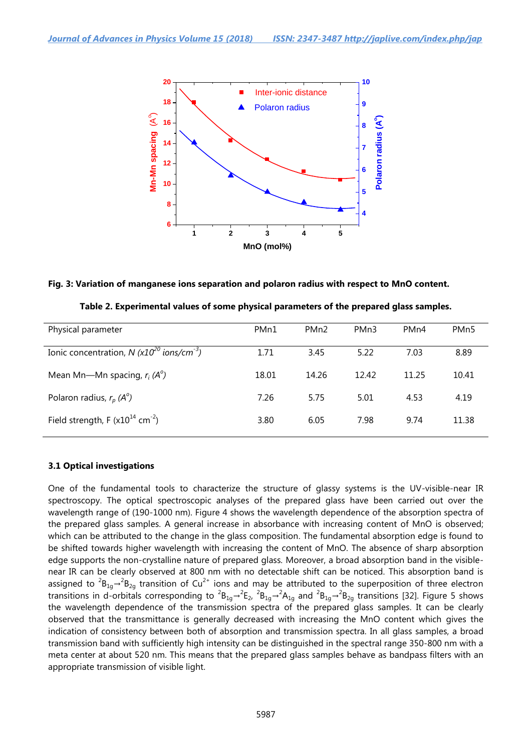

#### **Fig. 3: Variation of manganese ions separation and polaron radius with respect to MnO content.**

| Table 2. Experimental values of some physical parameters of the prepared glass samples. |  |  |  |  |
|-----------------------------------------------------------------------------------------|--|--|--|--|
|                                                                                         |  |  |  |  |

| Physical parameter                                         | PM <sub>n1</sub> | PM <sub>n2</sub> | PM <sub>n</sub> 3 | PM <sub>n4</sub> | PM <sub>n</sub> 5 |
|------------------------------------------------------------|------------------|------------------|-------------------|------------------|-------------------|
| Ionic concentration, N $(x10^{20}$ ions/cm <sup>-3</sup> ) | 1.71             | 3.45             | 5.22              | 7.03             | 8.89              |
| Mean Mn—Mn spacing, $r_i(A^{\circ})$                       | 18.01            | 14.26            | 12.42             | 11.25            | 10.41             |
| Polaron radius, $r_p(A^{\circ})$                           | 7.26             | 5.75             | 5.01              | 4.53             | 4.19              |
| Field strength, F $(x10^{14} cm^{-2})$                     | 3.80             | 6.05             | 7.98              | 9.74             | 11.38             |

### **3.1 Optical investigations**

One of the fundamental tools to characterize the structure of glassy systems is the UV-visible-near IR spectroscopy. The optical spectroscopic analyses of the prepared glass have been carried out over the wavelength range of (190-1000 nm). Figure 4 shows the wavelength dependence of the absorption spectra of the prepared glass samples. A general increase in absorbance with increasing content of MnO is observed; which can be attributed to the change in the glass composition. The fundamental absorption edge is found to be shifted towards higher wavelength with increasing the content of MnO. The absence of sharp absorption edge supports the non-crystalline nature of prepared glass. Moreover, a broad absorption band in the visiblenear IR can be clearly observed at 800 nm with no detectable shift can be noticed. This absorption band is assigned to  ${}^{2}B_{1g} \rightarrow {}^{2}B_{2g}$  transition of Cu<sup>2+</sup> ions and may be attributed to the superposition of three electron transitions in d-orbitals corresponding to  ${}^2B_{1q}$   $\rightarrow$   ${}^2E_{2}$ ,  ${}^2B_{1q}$   $\rightarrow$   ${}^2A_{1q}$  and  ${}^2B_{1q}$   $\rightarrow$   ${}^2B_{2q}$  transitions [32]. Figure 5 shows the wavelength dependence of the transmission spectra of the prepared glass samples. It can be clearly observed that the transmittance is generally decreased with increasing the MnO content which gives the indication of consistency between both of absorption and transmission spectra. In all glass samples, a broad transmission band with sufficiently high intensity can be distinguished in the spectral range 350-800 nm with a meta center at about 520 nm. This means that the prepared glass samples behave as bandpass filters with an appropriate transmission of visible light.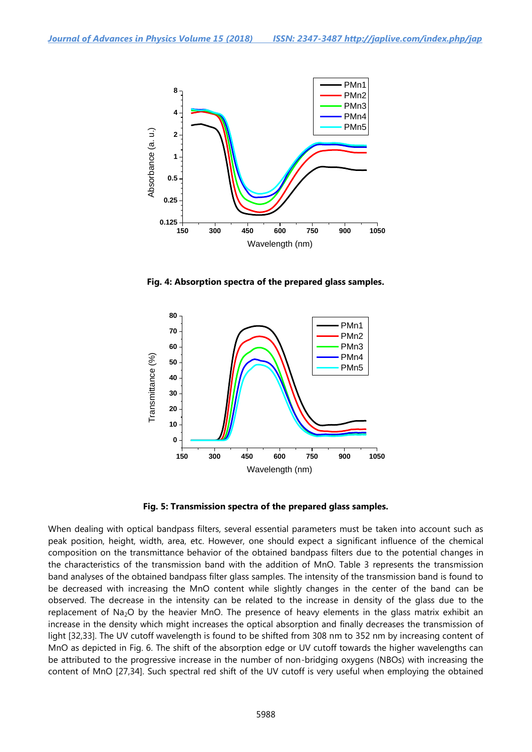

**Fig. 4: Absorption spectra of the prepared glass samples.**



**Fig. 5: Transmission spectra of the prepared glass samples.**

When dealing with optical bandpass filters, several essential parameters must be taken into account such as peak position, height, width, area, etc. However, one should expect a significant influence of the chemical composition on the transmittance behavior of the obtained bandpass filters due to the potential changes in the characteristics of the transmission band with the addition of MnO. Table 3 represents the transmission band analyses of the obtained bandpass filter glass samples. The intensity of the transmission band is found to be decreased with increasing the MnO content while slightly changes in the center of the band can be observed. The decrease in the intensity can be related to the increase in density of the glass due to the replacement of Na<sub>2</sub>O by the heavier MnO. The presence of heavy elements in the glass matrix exhibit an increase in the density which might increases the optical absorption and finally decreases the transmission of light [32,33]. The UV cutoff wavelength is found to be shifted from 308 nm to 352 nm by increasing content of MnO as depicted in Fig. 6. The shift of the absorption edge or UV cutoff towards the higher wavelengths can be attributed to the progressive increase in the number of non-bridging oxygens (NBOs) with increasing the content of MnO [27,34]. Such spectral red shift of the UV cutoff is very useful when employing the obtained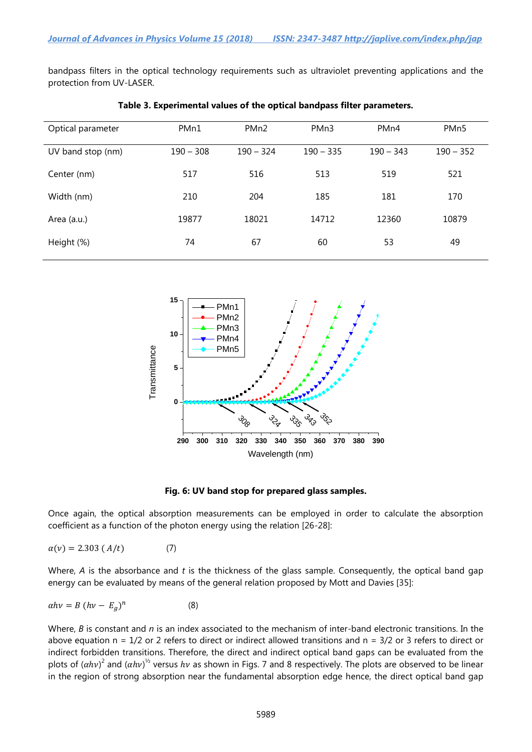bandpass filters in the optical technology requirements such as ultraviolet preventing applications and the protection from UV-LASER.

| Optical parameter | PM <sub>n1</sub> | PM <sub>n2</sub> | PMn3        | PM <sub>n4</sub> | PM <sub>n</sub> 5 |
|-------------------|------------------|------------------|-------------|------------------|-------------------|
| UV band stop (nm) | $190 - 308$      | $190 - 324$      | $190 - 335$ | $190 - 343$      | $190 - 352$       |
| Center (nm)       | 517              | 516              | 513         | 519              | 521               |
| Width (nm)        | 210              | 204              | 185         | 181              | 170               |
| Area (a.u.)       | 19877            | 18021            | 14712       | 12360            | 10879             |
| Height (%)        | 74               | 67               | 60          | 53               | 49                |

#### **Table 3. Experimental values of the optical bandpass filter parameters.**



**Fig. 6: UV band stop for prepared glass samples.**

Once again, the optical absorption measurements can be employed in order to calculate the absorption coefficient as a function of the photon energy using the relation [26-28]:

$$
\alpha(\nu) = 2.303 \left( \frac{A}{t} \right) \tag{7}
$$

Where, *A* is the absorbance and *t* is the thickness of the glass sample. Consequently, the optical band gap energy can be evaluated by means of the general relation proposed by Mott and Davies [35]:

$$
\alpha h v = B (h v - E_g)^n \tag{8}
$$

Where, *B* is constant and *n* is an index associated to the mechanism of inter-band electronic transitions. In the above equation  $n = 1/2$  or 2 refers to direct or indirect allowed transitions and  $n = 3/2$  or 3 refers to direct or indirect forbidden transitions. Therefore, the direct and indirect optical band gaps can be evaluated from the plots of  $(ahv)^2$  and  $(ahv)^{1/2}$  versus  $hv$  as shown in Figs. 7 and 8 respectively. The plots are observed to be linear in the region of strong absorption near the fundamental absorption edge hence, the direct optical band gap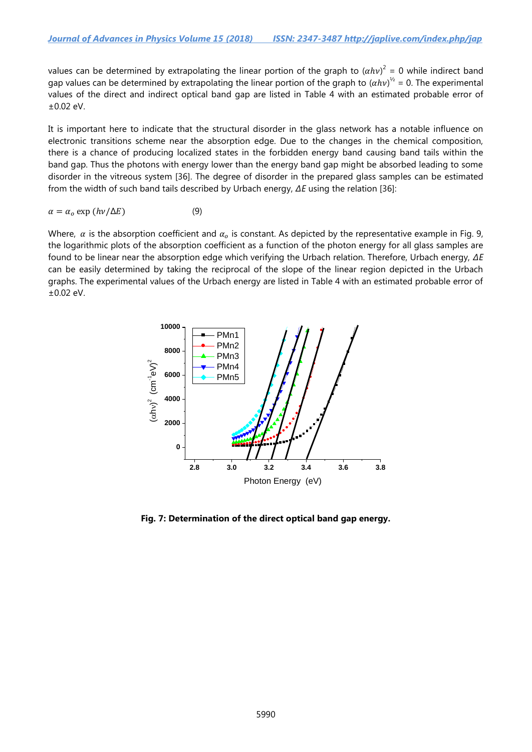values can be determined by extrapolating the linear portion of the graph to  $(ahv)^2 = 0$  while indirect band gap values can be determined by extrapolating the linear portion of the graph to  $(\alpha h\nu)^{\frac{1}{2}} = 0$ . The experimental values of the direct and indirect optical band gap are listed in Table 4 with an estimated probable error of ±0.02 eV.

It is important here to indicate that the structural disorder in the glass network has a notable influence on electronic transitions scheme near the absorption edge. Due to the changes in the chemical composition, there is a chance of producing localized states in the forbidden energy band causing band tails within the band gap. Thus the photons with energy lower than the energy band gap might be absorbed leading to some disorder in the vitreous system [36]. The degree of disorder in the prepared glass samples can be estimated from the width of such band tails described by Urbach energy, *ΔE* using the relation [36]:

$$
\alpha = \alpha_o \exp\left(\frac{h\nu}{\Delta E}\right) \tag{9}
$$

Where,  $\alpha$  is the absorption coefficient and  $\alpha_0$  is constant. As depicted by the representative example in Fig. 9, the logarithmic plots of the absorption coefficient as a function of the photon energy for all glass samples are found to be linear near the absorption edge which verifying the Urbach relation. Therefore, Urbach energy, *ΔE* can be easily determined by taking the reciprocal of the slope of the linear region depicted in the Urbach graphs. The experimental values of the Urbach energy are listed in Table 4 with an estimated probable error of ±0.02 eV.



**Fig. 7: Determination of the direct optical band gap energy.**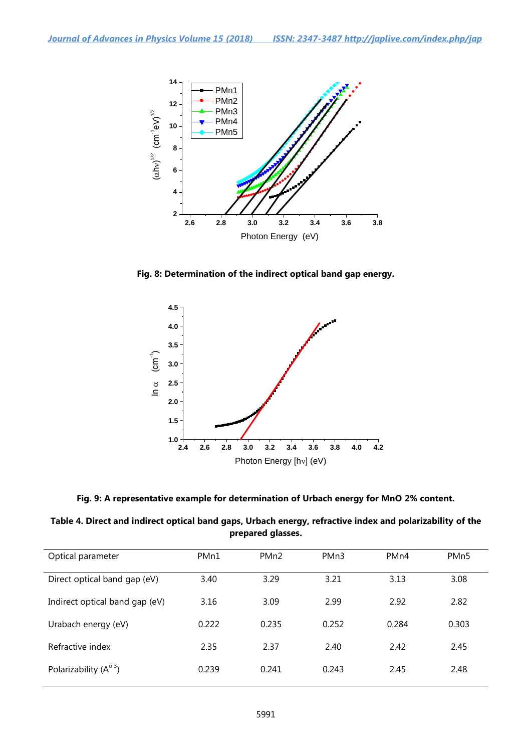

**Fig. 8: Determination of the indirect optical band gap energy.**



**Fig. 9: A representative example for determination of Urbach energy for MnO 2% content.**

| Table 4. Direct and indirect optical band gaps, Urbach energy, refractive index and polarizability of the |
|-----------------------------------------------------------------------------------------------------------|
| prepared glasses.                                                                                         |

| Optical parameter              | PMn1  | PM <sub>n2</sub> | PM <sub>n</sub> 3 | PM <sub>n4</sub> | PM <sub>n</sub> 5 |
|--------------------------------|-------|------------------|-------------------|------------------|-------------------|
| Direct optical band gap (eV)   | 3.40  | 3.29             | 3.21              | 3.13             | 3.08              |
| Indirect optical band gap (eV) | 3.16  | 3.09             | 2.99              | 2.92             | 2.82              |
| Urabach energy (eV)            | 0.222 | 0.235            | 0.252             | 0.284            | 0.303             |
| Refractive index               | 2.35  | 2.37             | 2.40              | 2.42             | 2.45              |
| Polarizability $(A^{\circ 3})$ | 0.239 | 0.241            | 0.243             | 2.45             | 2.48              |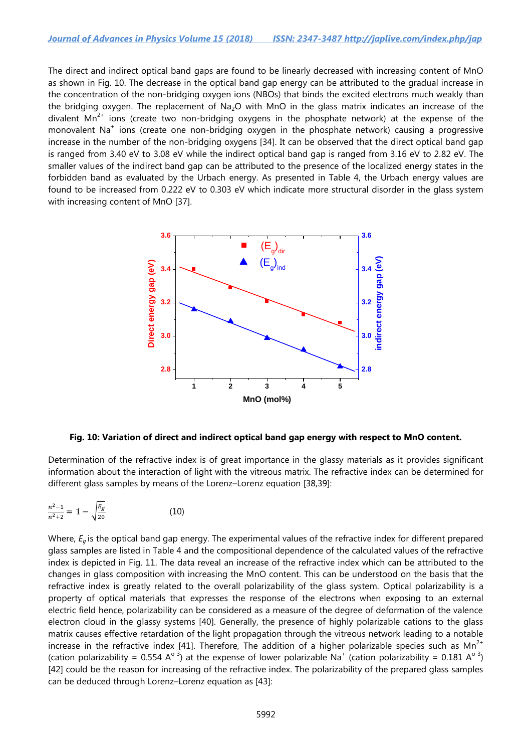The direct and indirect optical band gaps are found to be linearly decreased with increasing content of MnO as shown in Fig. 10. The decrease in the optical band gap energy can be attributed to the gradual increase in the concentration of the non-bridging oxygen ions (NBOs) that binds the excited electrons much weakly than the bridging oxygen. The replacement of Na<sub>2</sub>O with MnO in the glass matrix indicates an increase of the divalent  $Mn^{2+}$  ions (create two non-bridging oxygens in the phosphate network) at the expense of the monovalent Na<sup>+</sup> ions (create one non-bridging oxygen in the phosphate network) causing a progressive increase in the number of the non-bridging oxygens [34]. It can be observed that the direct optical band gap is ranged from 3.40 eV to 3.08 eV while the indirect optical band gap is ranged from 3.16 eV to 2.82 eV. The smaller values of the indirect band gap can be attributed to the presence of the localized energy states in the forbidden band as evaluated by the Urbach energy. As presented in Table 4, the Urbach energy values are found to be increased from 0.222 eV to 0.303 eV which indicate more structural disorder in the glass system with increasing content of MnO [37].



**Fig. 10: Variation of direct and indirect optical band gap energy with respect to MnO content.**

Determination of the refractive index is of great importance in the glassy materials as it provides significant information about the interaction of light with the vitreous matrix. The refractive index can be determined for different glass samples by means of the Lorenz–Lorenz equation [38,39]:

$$
\frac{n^2 - 1}{n^2 + 2} = 1 - \sqrt{\frac{E_g}{20}}\tag{10}
$$

Where,  $E_q$  is the optical band gap energy. The experimental values of the refractive index for different prepared glass samples are listed in Table 4 and the compositional dependence of the calculated values of the refractive index is depicted in Fig. 11. The data reveal an increase of the refractive index which can be attributed to the changes in glass composition with increasing the MnO content. This can be understood on the basis that the refractive index is greatly related to the overall polarizability of the glass system. Optical polarizability is a property of optical materials that expresses the response of the electrons when exposing to an external electric field hence, polarizability can be considered as a measure of the degree of deformation of the valence electron cloud in the glassy systems [40]. Generally, the presence of highly polarizable cations to the glass matrix causes effective retardation of the light propagation through the vitreous network leading to a notable increase in the refractive index [41]. Therefore, The addition of a higher polarizable species such as  $Mn^{2+}$ (cation polarizability = 0.554 A<sup>o 3</sup>) at the expense of lower polarizable Na<sup>+</sup> (cation polarizability = 0.181 A<sup>o 3</sup>) [42] could be the reason for increasing of the refractive index. The polarizability of the prepared glass samples can be deduced through Lorenz–Lorenz equation as [43]: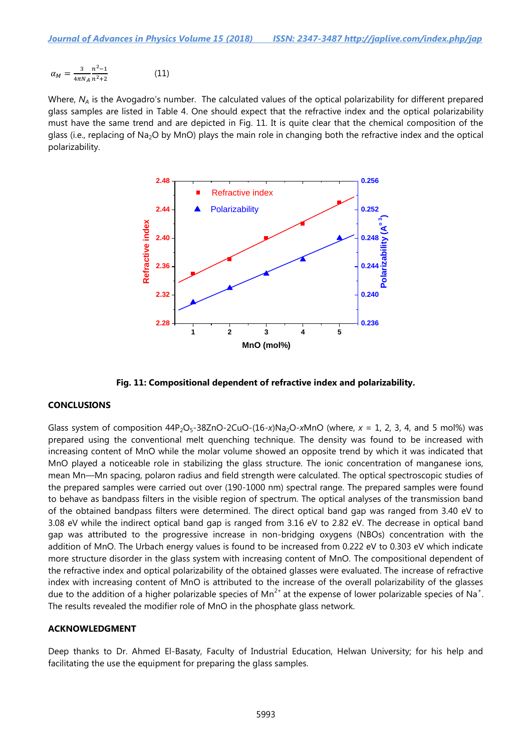$$
\alpha_M = \frac{3}{4\pi N_A} \frac{n^2 - 1}{n^2 + 2} \tag{11}
$$

Where, N<sub>A</sub> is the Avogadro's number. The calculated values of the optical polarizability for different prepared glass samples are listed in Table 4. One should expect that the refractive index and the optical polarizability must have the same trend and are depicted in Fig. 11. It is quite clear that the chemical composition of the glass (i.e., replacing of Na<sub>2</sub>O by MnO) plays the main role in changing both the refractive index and the optical polarizability.



**Fig. 11: Compositional dependent of refractive index and polarizability.**

# **CONCLUSIONS**

Glass system of composition  $44P_2O_5-38ZnO-2CuO-(16-x)Na_2O-xMnO$  (where,  $x = 1$ , 2, 3, 4, and 5 mol%) was prepared using the conventional melt quenching technique. The density was found to be increased with increasing content of MnO while the molar volume showed an opposite trend by which it was indicated that MnO played a noticeable role in stabilizing the glass structure. The ionic concentration of manganese ions, mean Mn—Mn spacing, polaron radius and field strength were calculated. The optical spectroscopic studies of the prepared samples were carried out over (190-1000 nm) spectral range. The prepared samples were found to behave as bandpass filters in the visible region of spectrum. The optical analyses of the transmission band of the obtained bandpass filters were determined. The direct optical band gap was ranged from 3.40 eV to 3.08 eV while the indirect optical band gap is ranged from 3.16 eV to 2.82 eV. The decrease in optical band gap was attributed to the progressive increase in non-bridging oxygens (NBOs) concentration with the addition of MnO. The Urbach energy values is found to be increased from 0.222 eV to 0.303 eV which indicate more structure disorder in the glass system with increasing content of MnO. The compositional dependent of the refractive index and optical polarizability of the obtained glasses were evaluated. The increase of refractive index with increasing content of MnO is attributed to the increase of the overall polarizability of the glasses due to the addition of a higher polarizable species of Mn<sup>2+</sup> at the expense of lower polarizable species of Na<sup>+</sup>. The results revealed the modifier role of MnO in the phosphate glass network.

### **ACKNOWLEDGMENT**

Deep thanks to Dr. Ahmed El-Basaty, Faculty of Industrial Education, Helwan University; for his help and facilitating the use the equipment for preparing the glass samples.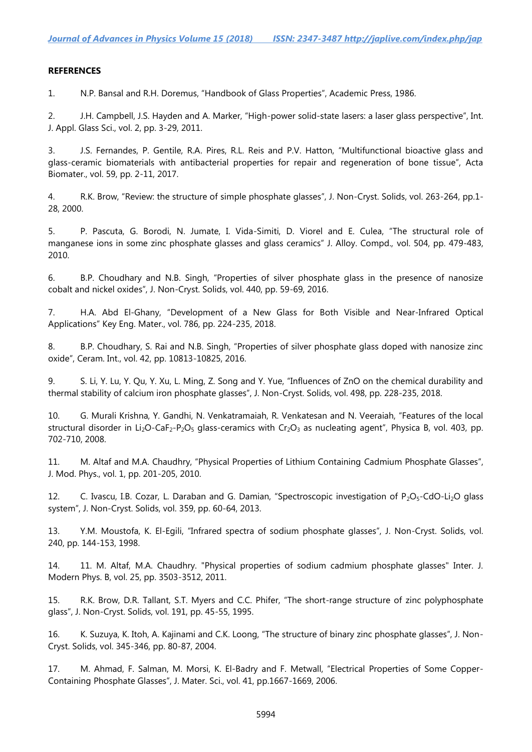### **REFERENCES**

1. N.P. Bansal and R.H. Doremus, "Handbook of Glass Properties", Academic Press, 1986.

2. J.H. Campbell, J.S. Hayden and A. Marker, "High-power solid-state lasers: a laser glass perspective", Int. J. Appl. Glass Sci., vol. 2, pp. 3-29, 2011.

3. J.S. Fernandes, P. Gentile, R.A. Pires, R.L. Reis and P.V. Hatton, "Multifunctional bioactive glass and glass-ceramic biomaterials with antibacterial properties for repair and regeneration of bone tissue", Acta Biomater., vol. 59, pp. 2-11, 2017.

4. R.K. Brow, "Review: the structure of simple phosphate glasses", J. Non-Cryst. Solids, vol. 263-264, pp.1- 28, 2000.

5. P. Pascuta, G. Borodi, N. Jumate, I. Vida-Simiti, D. Viorel and E. Culea, "The structural role of manganese ions in some zinc phosphate glasses and glass ceramics" J. Alloy. Compd., vol. 504, pp. 479-483, 2010.

6. B.P. Choudhary and N.B. Singh, "Properties of silver phosphate glass in the presence of nanosize cobalt and nickel oxides", J. Non-Cryst. Solids, vol. 440, pp. 59-69, 2016.

7. H.A. Abd El-Ghany, "Development of a New Glass for Both Visible and Near-Infrared Optical Applications" Key Eng. Mater., vol. 786, pp. 224-235, 2018.

8. B.P. Choudhary, S. Rai and N.B. Singh, "Properties of silver phosphate glass doped with nanosize zinc oxide", Ceram. Int., vol. 42, pp. 10813-10825, 2016.

9. S. Li, Y. Lu, Y. Qu, Y. Xu, L. Ming, Z. Song and Y. Yue, "Influences of ZnO on the chemical durability and thermal stability of calcium iron phosphate glasses", J. Non-Cryst. Solids, vol. 498, pp. 228-235, 2018.

10. G. Murali Krishna, Y. Gandhi, N. Venkatramaiah, R. Venkatesan and N. Veeraiah, "Features of the local structural disorder in Li<sub>2</sub>O-CaF<sub>2</sub>-P<sub>2</sub>O<sub>5</sub> glass-ceramics with Cr<sub>2</sub>O<sub>3</sub> as nucleating agent", Physica B, vol. 403, pp. 702-710, 2008.

11. M. Altaf and M.A. Chaudhry, "Physical Properties of Lithium Containing Cadmium Phosphate Glasses", J. Mod. Phys., vol. 1, pp. 201-205, 2010.

12. C. Ivascu, I.B. Cozar, L. Daraban and G. Damian, "Spectroscopic investigation of  $P_2O_5$ -CdO-Li<sub>2</sub>O glass system", J. Non-Cryst. Solids, vol. 359, pp. 60-64, 2013.

13. Y.M. Moustofa, K. El-Egili, "Infrared spectra of sodium phosphate glasses", J. Non-Cryst. Solids, vol. 240, pp. 144-153, 1998.

14. 11. M. Altaf, M.A. Chaudhry. "Physical properties of sodium cadmium phosphate glasses" Inter. J. Modern Phys. B, vol. 25, pp. 3503-3512, 2011.

15. R.K. Brow, D.R. Tallant, S.T. Myers and C.C. Phifer, "The short-range structure of zinc polyphosphate glass", J. Non-Cryst. Solids, vol. 191, pp. 45-55, 1995.

16. K. Suzuya, K. Itoh, A. Kajinami and C.K. Loong, "The structure of binary zinc phosphate glasses", J. Non-Cryst. Solids, vol. 345-346, pp. 80-87, 2004.

17. M. Ahmad, F. Salman, M. Morsi, K. El-Badry and F. Metwall, "Electrical Properties of Some Copper-Containing Phosphate Glasses", J. Mater. Sci., vol. 41, pp.1667-1669, 2006.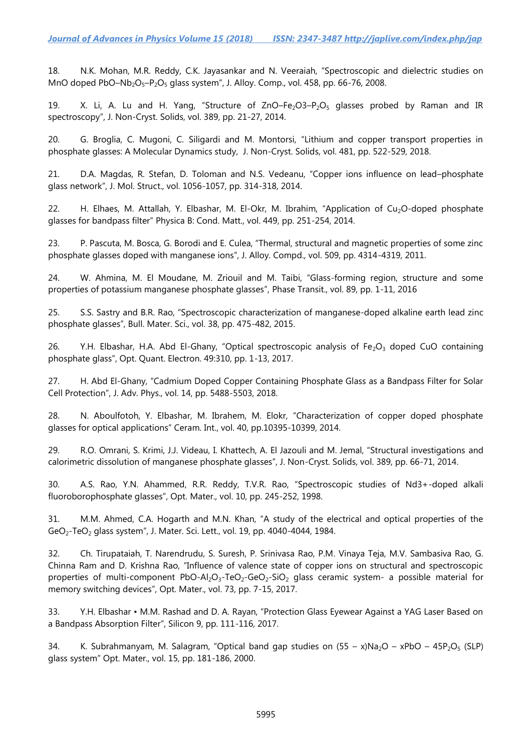18. N.K. Mohan, M.R. Reddy, C.K. Jayasankar and N. Veeraiah, "Spectroscopic and dielectric studies on MnO doped PbO-Nb<sub>2</sub>O<sub>5</sub>-P<sub>2</sub>O<sub>5</sub> glass system", J. Alloy. Comp., vol. 458, pp. 66-76, 2008.

19. X. Li, A. Lu and H. Yang, "Structure of  $ZnO-Fe<sub>2</sub>O3-P<sub>2</sub>O<sub>5</sub>$  glasses probed by Raman and IR spectroscopy", J. Non-Cryst. Solids, vol. 389, pp. 21-27, 2014.

20. G. Broglia, C. Mugoni, C. Siligardi and M. Montorsi, "Lithium and copper transport properties in phosphate glasses: A Molecular Dynamics study, J. Non-Cryst. Solids, vol. 481, pp. 522-529, 2018.

21. D.A. Magdas, R. Stefan, D. Toloman and N.S. Vedeanu, "Copper ions influence on lead–phosphate glass network", J. Mol. Struct., vol. 1056-1057, pp. 314-318, 2014.

22. H. Elhaes, M. Attallah, Y. Elbashar, M. El-Okr, M. Ibrahim, "Application of Cu<sub>2</sub>O-doped phosphate glasses for bandpass filter" Physica B: Cond. Matt., vol. 449, pp. 251-254, 2014.

23. P. Pascuta, M. Bosca, G. Borodi and E. Culea, "Thermal, structural and magnetic properties of some zinc phosphate glasses doped with manganese ions", J. Alloy. Compd., vol. 509, pp. 4314-4319, 2011.

24. W. Ahmina, M. El Moudane, M. Zriouil and M. Taibi, "Glass-forming region, structure and some properties of potassium manganese phosphate glasses", Phase Transit., vol. 89, pp. 1-11, 2016

25. S.S. Sastry and B.R. Rao, "Spectroscopic characterization of manganese-doped alkaline earth lead zinc phosphate glasses", Bull. Mater. Sci., vol. 38, pp. 475-482, 2015.

26. Y.H. Elbashar, H.A. Abd El-Ghany, "Optical spectroscopic analysis of Fe<sub>2</sub>O<sub>3</sub> doped CuO containing phosphate glass", Opt. Quant. Electron. 49:310, pp. 1-13, 2017.

27. H. Abd El-Ghany, "Cadmium Doped Copper Containing Phosphate Glass as a Bandpass Filter for Solar Cell Protection", J. Adv. Phys., vol. 14, pp. 5488-5503, 2018.

28. N. Aboulfotoh, Y. Elbashar, M. Ibrahem, M. Elokr, "Characterization of copper doped phosphate glasses for optical applications" Ceram. Int., vol. 40, pp.10395-10399, 2014.

29. R.O. Omrani, S. Krimi, J.J. Videau, I. Khattech, A. El Jazouli and M. Jemal, "Structural investigations and calorimetric dissolution of manganese phosphate glasses", J. Non-Cryst. Solids, vol. 389, pp. 66-71, 2014.

30. A.S. Rao, Y.N. Ahammed, R.R. Reddy, T.V.R. Rao, "Spectroscopic studies of Nd3+-doped alkali fluoroborophosphate glasses", Opt. Mater., vol. 10, pp. 245-252, 1998.

31. M.M. Ahmed, C.A. Hogarth and M.N. Khan, "A study of the electrical and optical properties of the GeO2-TeO<sup>2</sup> glass system", J. Mater. Sci. Lett., vol. 19, pp. 4040-4044, 1984.

32. Ch. Tirupataiah, T. Narendrudu, S. Suresh, P. Srinivasa Rao, P.M. Vinaya Teja, M.V. Sambasiva Rao, G. Chinna Ram and D. Krishna Rao, "Influence of valence state of copper ions on structural and spectroscopic properties of multi-component PbO-Al<sub>2</sub>O<sub>3</sub>-TeO<sub>2</sub>-GeO<sub>2</sub>-SiO<sub>2</sub> glass ceramic system- a possible material for memory switching devices", Opt. Mater., vol. 73, pp. 7-15, 2017.

33. Y.H. Elbashar • M.M. Rashad and D. A. Rayan, "Protection Glass Eyewear Against a YAG Laser Based on a Bandpass Absorption Filter", Silicon 9, pp. 111-116, 2017.

34. K. Subrahmanyam, M. Salagram, "Optical band gap studies on  $(55 - x)Na<sub>2</sub>O - xPbO - 45P<sub>2</sub>O<sub>5</sub> (SLP)$ glass system" Opt. Mater., vol. 15, pp. 181-186, 2000.